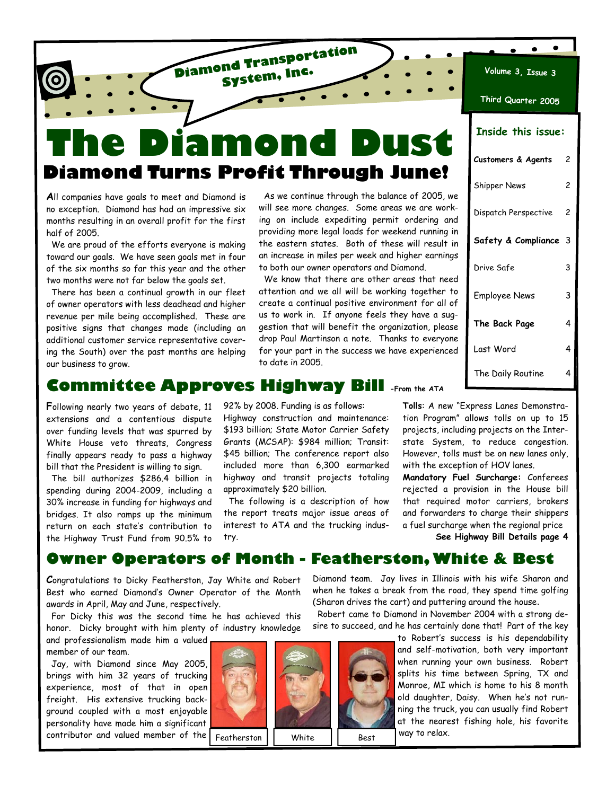# **The Diamond Dust Diamond Turns Profit Through June!**

**Diamond Transportation System, Inc.**

**A**ll companies have goals to meet and Diamond is no exception. Diamond has had an impressive six months resulting in an overall profit for the first half of 2005.

 We are proud of the efforts everyone is making toward our goals. We have seen goals met in four of the six months so far this year and the other two months were not far below the goals set.

 There has been a continual growth in our fleet of owner operators with less deadhead and higher revenue per mile being accomplished. These are positive signs that changes made (including an additional customer service representative covering the South) over the past months are helping our business to grow.

 As we continue through the balance of 2005, we will see more changes. Some areas we are working on include expediting permit ordering and providing more legal loads for weekend running in the eastern states. Both of these will result in an increase in miles per week and higher earnings to both our owner operators and Diamond.

 We know that there are other areas that need attention and we all will be working together to create a continual positive environment for all of us to work in. If anyone feels they have a suggestion that will benefit the organization, please drop Paul Martinson a note. Thanks to everyone for your part in the success we have experienced to date in 2005.

| Third Quarter 2005        |   |
|---------------------------|---|
| <b>Inside this issue:</b> |   |
| Customers & Agents        | 2 |
| <b>Shipper News</b>       | 2 |
| Dispatch Perspective      | 2 |
| Safety & Compliance 3     |   |
| Drive Safe                | 3 |
| <b>Employee News</b>      | 3 |
| The Back Page             | 4 |

**Volume 3, Issue 3**

 $\bullet$ 

 $\bullet$ 

The Daily Routine 4

### **Committee Approves Highway Bill -From the ATA**

**F**ollowing nearly two years of debate, 11 extensions and a contentious dispute over funding levels that was spurred by White House veto threats, Congress finally appears ready to pass a highway bill that the President is willing to sign.

 The bill authorizes \$286.4 billion in spending during 2004-2009, including a 30% increase in funding for highways and bridges. It also ramps up the minimum return on each state's contribution to the Highway Trust Fund from 90.5% to

92% by 2008. Funding is as follows: Highway construction and maintenance: \$193 billion; State Motor Carrier Safety Grants (MCSAP): \$984 million; Transit: \$45 billion; The conference report also included more than 6,300 earmarked highway and transit projects totaling approximately \$20 billion.

 The following is a description of how the report treats major issue areas of interest to ATA and the trucking industry.

**Tolls**: A new "Express Lanes Demonstration Program" allows tolls on up to 15 projects, including projects on the Interstate System, to reduce congestion. However, tolls must be on new lanes only, with the exception of HOV lanes.

Last Word 4

**Mandatory Fuel Surcharge:** Conferees rejected a provision in the House bill that required motor carriers, brokers and forwarders to charge their shippers a fuel surcharge when the regional price

**See Highway Bill Details page 4** 

### **Owner Operators of Month - Featherston, White & Best**

**C**ongratulations to Dicky Featherston, Jay White and Robert Best who earned Diamond's Owner Operator of the Month awards in April, May and June, respectively.

 For Dicky this was the second time he has achieved this honor. Dicky brought with him plenty of industry knowledge

and professionalism made him a valued member of our team.

 Jay, with Diamond since May 2005, brings with him 32 years of trucking experience, most of that in open freight. His extensive trucking background coupled with a most enjoyable personality have made him a significant contributor and valued member of the



Diamond team. Jay lives in Illinois with his wife Sharon and when he takes a break from the road, they spend time golfing (Sharon drives the cart) and puttering around the house.

 Robert came to Diamond in November 2004 with a strong desire to succeed, and he has certainly done that! Part of the key

> to Robert's success is his dependability and self-motivation, both very important when running your own business. Robert splits his time between Spring, TX and Monroe, MI which is home to his 8 month old daughter, Daisy. When he's not running the truck, you can usually find Robert at the nearest fishing hole, his favorite

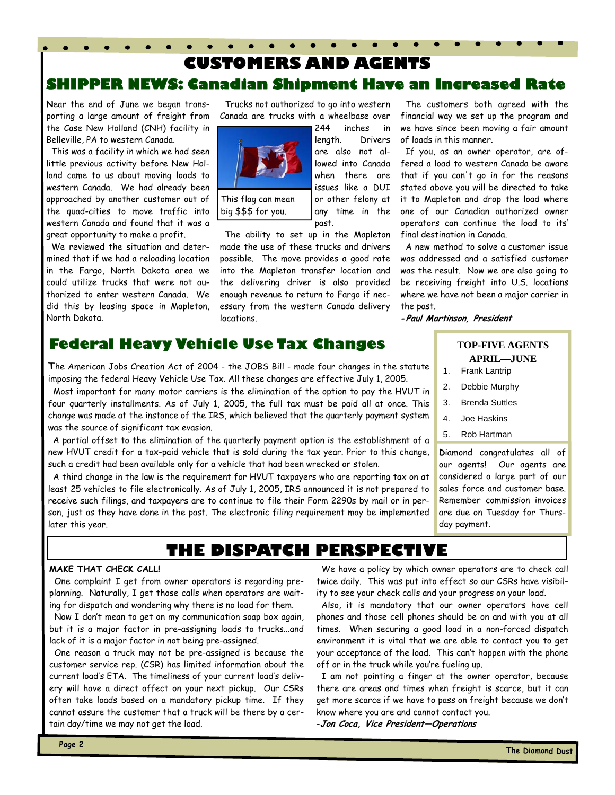# **SHIPPER NEWS: Canadian Shipment Have an Increased Rate CUSTOMERS AND AGENTS**

**N**ear the end of June we began transporting a large amount of freight from the Case New Holland (CNH) facility in Belleville, PA to western Canada.

 This was a facility in which we had seen little previous activity before New Holland came to us about moving loads to western Canada. We had already been approached by another customer out of the quad-cities to move traffic into western Canada and found that it was a great opportunity to make a profit.

 We reviewed the situation and determined that if we had a reloading location in the Fargo, North Dakota area we could utilize trucks that were not authorized to enter western Canada. We did this by leasing space in Mapleton, North Dakota.

 Trucks not authorized to go into western Canada are trucks with a wheelbase over



big \$\$\$ for you.

 The ability to set up in the Mapleton made the use of these trucks and drivers possible. The move provides a good rate into the Mapleton transfer location and the delivering driver is also provided enough revenue to return to Fargo if necessary from the western Canada delivery locations.

any time in the

past.

**Federal Heavy Vehicle Use Tax Changes** 

**T**he American Jobs Creation Act of 2004 - the JOBS Bill - made four changes in the statute imposing the federal Heavy Vehicle Use Tax. All these changes are effective July 1, 2005.

 Most important for many motor carriers is the elimination of the option to pay the HVUT in four quarterly installments. As of July 1, 2005, the full tax must be paid all at once. This change was made at the instance of the IRS, which believed that the quarterly payment system was the source of significant tax evasion.

 A partial offset to the elimination of the quarterly payment option is the establishment of a new HVUT credit for a tax-paid vehicle that is sold during the tax year. Prior to this change, such a credit had been available only for a vehicle that had been wrecked or stolen.

 A third change in the law is the requirement for HVUT taxpayers who are reporting tax on at least 25 vehicles to file electronically. As of July 1, 2005, IRS announced it is not prepared to receive such filings, and taxpayers are to continue to file their Form 2290s by mail or in person, just as they have done in the past. The electronic filing requirement may be implemented later this year.

## **THE DISPATCH PERSPECTIVE**

#### **MAKE THAT CHECK CALL!**

 One complaint I get from owner operators is regarding preplanning. Naturally, I get those calls when operators are waiting for dispatch and wondering why there is no load for them.

 Now I don't mean to get on my communication soap box again, but it is a major factor in pre-assigning loads to trucks...and lack of it is a major factor in not being pre-assigned.

 One reason a truck may not be pre-assigned is because the customer service rep. (CSR) has limited information about the current load's ETA. The timeliness of your current load's delivery will have a direct affect on your next pickup. Our CSRs often take loads based on a mandatory pickup time. If they cannot assure the customer that a truck will be there by a certain day/time we may not get the load.

 The customers both agreed with the financial way we set up the program and we have since been moving a fair amount of loads in this manner.

 If you, as an owner operator, are offered a load to western Canada be aware that if you can't go in for the reasons stated above you will be directed to take it to Mapleton and drop the load where one of our Canadian authorized owner operators can continue the load to its' final destination in Canada.

 A new method to solve a customer issue was addressed and a satisfied customer was the result. Now we are also going to be receiving freight into U.S. locations where we have not been a major carrier in the past.

**-Paul Martinson, President**

#### **TOP-FIVE AGENTS APRIL—JUNE**

- 1. Frank Lantrip
- 2. Debbie Murphy
- 3. Brenda Suttles
- 4. Joe Haskins
- 5. Rob Hartman

**D**iamond congratulates all of our agents! Our agents are considered a large part of our sales force and customer base. Remember commission invoices are due on Tuesday for Thursday payment.

 We have a policy by which owner operators are to check call twice daily. This was put into effect so our CSRs have visibility to see your check calls and your progress on your load.

 Also, it is mandatory that our owner operators have cell phones and those cell phones should be on and with you at all times. When securing a good load in a non-forced dispatch environment it is vital that we are able to contact you to get your acceptance of the load. This can't happen with the phone off or in the truck while you're fueling up.

 I am not pointing a finger at the owner operator, because there are areas and times when freight is scarce, but it can get more scarce if we have to pass on freight because we don't know where you are and cannot contact you.

-**Jon Coca, Vice President—Operations**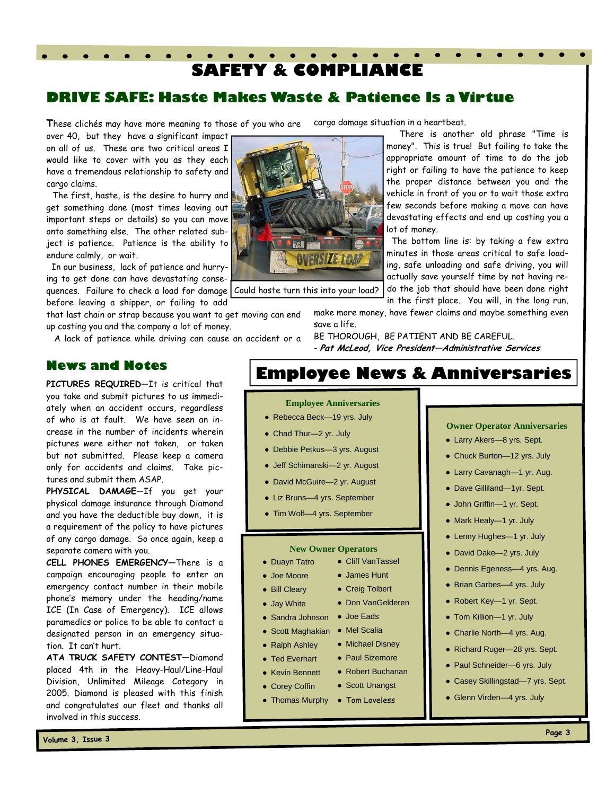# **SAFETY & COMPLIANCE**

### **DRIVE SAFE: Haste Makes Waste & Patience Is a Virtue**

These clichés may have more meaning to those of you who are cargo damage situation in a heartbeat.

over 40, but they have a significant impact on all of us. These are two critical areas I would like to cover with you as they each have a tremendous relationship to safety and cargo claims.

 $\sim$   $\sim$ 

 The first, haste, is the desire to hurry and get something done (most times leaving out important steps or details) so you can move onto something else. The other related subject is patience. Patience is the ability to endure calmly, or wait.

 In our business, lack of patience and hurrying to get done can have devastating consequences. Failure to check a load for damage Could haste turn this into your load? before leaving a shipper, or failing to add

that last chain or strap because you want to get moving can end up costing you and the company a lot of money.

A lack of patience while driving can cause an accident or a

#### **News and Notes**

**PICTURES REQUIRED**—It is critical that you take and submit pictures to us immediately when an accident occurs, regardless of who is at fault. We have seen an increase in the number of incidents wherein pictures were either not taken, or taken but not submitted. Please keep a camera only for accidents and claims. Take pictures and submit them ASAP.

**PHYSICAL DAMAGE**—If you get your physical damage insurance through Diamond and you have the deductible buy down, it is a requirement of the policy to have pictures of any cargo damage. So once again, keep a separate camera with you.

**CELL PHONES EMERGENCY—**There is a campaign encouraging people to enter an emergency contact number in their mobile phone's memory under the heading/name ICE (In Case of Emergency). ICE allows paramedics or police to be able to contact a designated person in an emergency situation. It can't hurt.

**ATA TRUCK SAFETY CONTEST—**Diamond placed 4th in the Heavy-Haul/Line-Haul Division, Unlimited Mileage Category in 2005. Diamond is pleased with this finish and congratulates our fleet and thanks all involved in this success.



 There is another old phrase "Time is money". This is true! But failing to take the appropriate amount of time to do the job right or failing to have the patience to keep the proper distance between you and the vehicle in front of you or to wait those extra few seconds before making a move can have devastating effects and end up costing you a lot of money.

 The bottom line is: by taking a few extra minutes in those areas critical to safe loading, safe unloading and safe driving, you will actually save yourself time by not having redo the job that should have been done right in the first place. You will, in the long run,

make more money, have fewer claims and maybe something even save a life.

BE THOROUGH, BE PATIENT AND BE CAREFUL. - **Pat McLeod, Vice President—Administrative Services**

# **Employee News & Anniversaries**

#### **Employee Anniversaries**

- Rebecca Beck-19 yrs. July
- Chad Thur-2 yr. July
- Debbie Petkus-3 yrs. August
- Jeff Schimanski—2 yr. August
- David McGuire—2 yr. August
- Liz Bruns—4 yrs. September
- Tim Wolf—4 yrs. September

#### **New Owner Operators**

● Cliff VanTassel ● James Hunt ● Creig Tolbert ● Don VanGelderen

● Michael Disney

● Scott Unangst

- Duayn Tatro
- Joe Moore
- Bill Cleary
- Jay White
- Sandra Johnson ● Joe Eads
- Scott Maghakian ● Mel Scalia
- Ralph Ashley
- Ted Everhart ● Paul Sizemore
- Kevin Bennett ● Robert Buchanan
- Corey Coffin
- Thomas Murphy Tom Loveless
- **Owner Operator Anniversaries**
- Larry Akers-8 yrs. Sept.
- Chuck Burton-12 yrs. July
- Larry Cavanagh-1 yr. Aug.
- Dave Gilliland—1yr. Sept.
- John Griffin—1 yr. Sept.
- Mark Healy-1 yr. July
- Lenny Hughes-1 yr. July
- David Dake—2 yrs. July
- Dennis Egeness—4 yrs. Aug.
- Brian Garbes—4 yrs. July
- Robert Key—1 yr. Sept.
- Tom Killion—1 yr. July
- Charlie North-4 yrs. Aug.
- Richard Ruger—28 yrs. Sept.
- Paul Schneider-6 yrs. July
- Casey Skillingstad-7 yrs. Sept.
- Glenn Virden-4 yrs. July